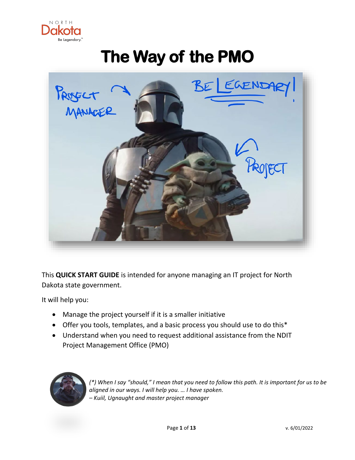

# **The Way of the PMO**



This **QUICK START GUIDE** is intended for anyone managing an IT project for North Dakota state government.

It will help you:

- Manage the project yourself if it is a smaller initiative
- Offer you tools, templates, and a basic process you should use to do this\*
- Understand when you need to request additional assistance from the NDIT Project Management Office (PMO)



*(\*) When I say "should," I mean that you need to follow this path. It is important for us to be aligned in our ways. I will help you. … I have spoken. – Kuiil, Ugnaught and master project manager*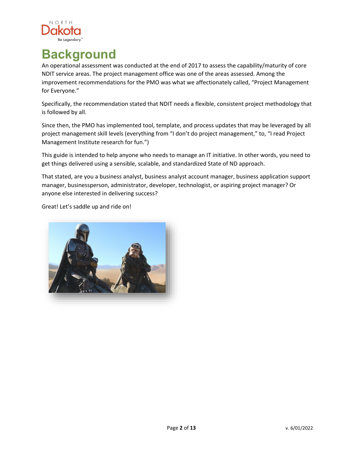

### **Background**

An operational assessment was conducted at the end of 2017 to assess the capability/maturity of core NDIT service areas. The project management office was one of the areas assessed. Among the improvement recommendations for the PMO was what we affectionately called, "Project Management for Everyone."

Specifically, the recommendation stated that NDIT needs a flexible, consistent project methodology that is followed by all.

Since then, the PMO has implemented tool, template, and process updates that may be leveraged by all project management skill levels (everything from "I don't do project management," to, "I read Project Management Institute research for fun.")

This guide is intended to help anyone who needs to manage an IT initiative. In other words, you need to get things delivered using a sensible, scalable, and standardized State of ND approach.

That stated, are you a business analyst, business analyst account manager, business application support manager, businessperson, administrator, developer, technologist, or aspiring project manager? Or anyone else interested in delivering success?

Great! Let's saddle up and ride on!

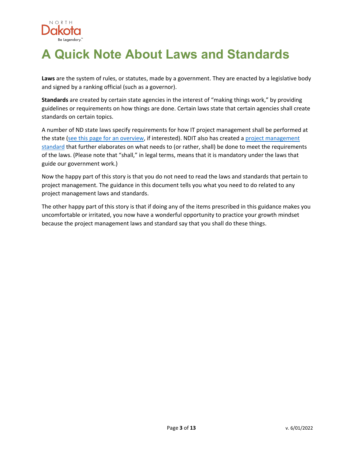

### **A Quick Note About Laws and Standards**

**Laws** are the system of rules, or statutes, made by a government. They are enacted by a legislative body and signed by a ranking official (such as a governor).

**Standards** are created by certain state agencies in the interest of "making things work," by providing guidelines or requirements on how things are done. Certain laws state that certain agencies shall create standards on certain topics.

A number of ND state laws specify requirements for how IT project management shall be performed at the state [\(see this page for an overview,](https://www.ndit.nd.gov/services/project-management/project-management-oversight) if interested). NDIT also has created a [project management](https://www.nd.gov/itd/standards/POL0020207)  [standard](https://www.nd.gov/itd/standards/POL0020207) that further elaborates on what needs to (or rather, shall) be done to meet the requirements of the laws. (Please note that "shall," in legal terms, means that it is mandatory under the laws that guide our government work.)

Now the happy part of this story is that you do not need to read the laws and standards that pertain to project management. The guidance in this document tells you what you need to do related to any project management laws and standards.

The other happy part of this story is that if doing any of the items prescribed in this guidance makes you uncomfortable or irritated, you now have a wonderful opportunity to practice your growth mindset because the project management laws and standard say that you shall do these things.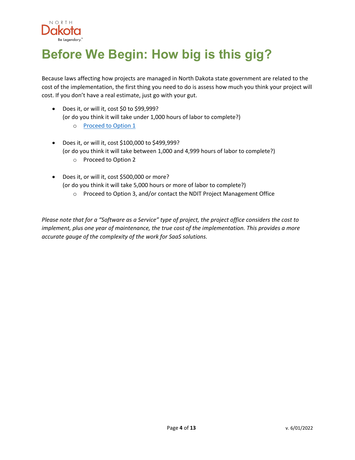

## **Before We Begin: How big is this gig?**

Because laws affecting how projects are managed in North Dakota state government are related to the cost of the implementation, the first thing you need to do is assess how much you think your project will cost. If you don't have a real estimate, just go with your gut.

- Does it, or will it, cost \$0 to \$99,999? (or do you think it will take under 1,000 hours of labor to complete?)
	- o **[Proceed to Option 1](#page-4-0)**
- Does it, or will it, cost \$100,000 to \$499,999? (or do you think it will take between 1,000 and 4,999 hours of labor to complete?) o Proceed to Option 2
- Does it, or will it, cost \$500,000 or more? (or do you think it will take 5,000 hours or more of labor to complete?)
	- o Proceed to Option 3, and/or contact the NDIT Project Management Office

*Please note that for a "Software as a Service" type of project, the project office considers the cost to implement, plus one year of maintenance, the true cost of the implementation. This provides a more accurate gauge of the complexity of the work for SaaS solutions.*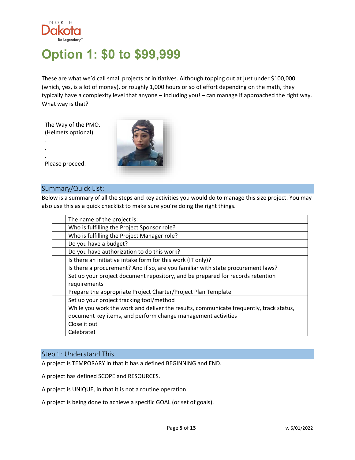

### <span id="page-4-0"></span>**Option 1: \$0 to \$99,999**

These are what we'd call small projects or initiatives. Although topping out at just under \$100,000 (which, yes, is a lot of money), or roughly 1,000 hours or so of effort depending on the math, they typically have a complexity level that anyone – including you! – can manage if approached the right way. What way is that?

The Way of the PMO. (Helmets optional).



Please proceed.

. . .

#### Summary/Quick List:

Below is a summary of all the steps and key activities you would do to manage this size project. You may also use this as a quick checklist to make sure you're doing the right things.

| The name of the project is:                                                            |
|----------------------------------------------------------------------------------------|
| Who is fulfilling the Project Sponsor role?                                            |
| Who is fulfilling the Project Manager role?                                            |
| Do you have a budget?                                                                  |
| Do you have authorization to do this work?                                             |
| Is there an initiative intake form for this work (IT only)?                            |
| Is there a procurement? And if so, are you familiar with state procurement laws?       |
| Set up your project document repository, and be prepared for records retention         |
| requirements                                                                           |
| Prepare the appropriate Project Charter/Project Plan Template                          |
| Set up your project tracking tool/method                                               |
| While you work the work and deliver the results, communicate frequently, track status, |
| document key items, and perform change management activities                           |
| Close it out                                                                           |
| Celebrate!                                                                             |

#### Step 1: Understand This

A project is TEMPORARY in that it has a defined BEGINNING and END.

A project has defined SCOPE and RESOURCES.

A project is UNIQUE, in that it is not a routine operation.

A project is being done to achieve a specific GOAL (or set of goals).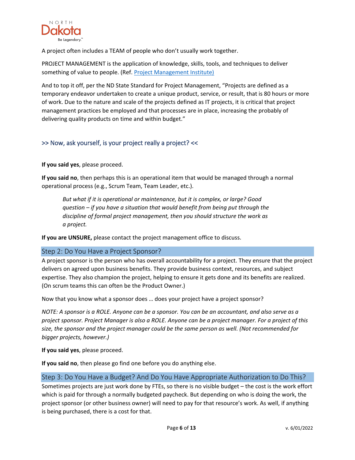

A project often includes a TEAM of people who don't usually work together.

PROJECT MANAGEMENT is the application of knowledge, skills, tools, and techniques to deliver something of value to people. (Ref. [Project Management Institute\)](https://www.pmi.org/about/learn-about-pmi/what-is-project-management)

And to top it off, per the ND State Standard for Project Management, "Projects are defined as a temporary endeavor undertaken to create a unique product, service, or result, that is 80 hours or more of work. Due to the nature and scale of the projects defined as IT projects, it is critical that project management practices be employed and that processes are in place, increasing the probably of delivering quality products on time and within budget."

#### >> Now, ask yourself, is your project really a project? <<

**If you said yes**, please proceed.

**If you said no**, then perhaps this is an operational item that would be managed through a normal operational process (e.g., Scrum Team, Team Leader, etc.).

*But what if it is operational or maintenance, but it is complex, or large? Good question – if you have a situation that would benefit from being put through the discipline of formal project management, then you should structure the work as a project.* 

**If you are UNSURE,** please contact the project management office to discuss.

#### Step 2: Do You Have a Project Sponsor?

A project sponsor is the person who has overall accountability for a project. They ensure that the project delivers on agreed upon business benefits. They provide business context, resources, and subject expertise. They also champion the project, helping to ensure it gets done and its benefits are realized. (On scrum teams this can often be the Product Owner.)

Now that you know what a sponsor does … does your project have a project sponsor?

*NOTE: A sponsor is a ROLE. Anyone can be a sponsor. You can be an accountant, and also serve as a project sponsor. Project Manager is also a ROLE. Anyone can be a project manager. For a project of this size, the sponsor and the project manager could be the same person as well. (Not recommended for bigger projects, however.)*

**If you said yes**, please proceed.

**If you said no**, then please go find one before you do anything else.

#### Step 3: Do You Have a Budget? And Do You Have Appropriate Authorization to Do This?

Sometimes projects are just work done by FTEs, so there is no visible budget – the cost is the work effort which is paid for through a normally budgeted paycheck. But depending on who is doing the work, the project sponsor (or other business owner) will need to pay for that resource's work. As well, if anything is being purchased, there is a cost for that.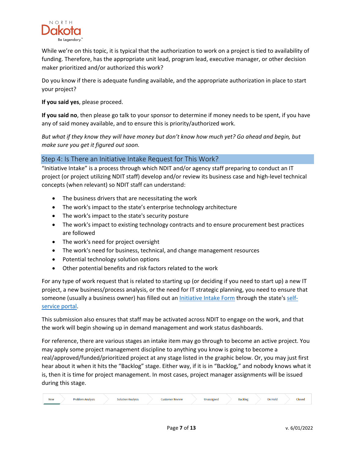

While we're on this topic, it is typical that the authorization to work on a project is tied to availability of funding. Therefore, has the appropriate unit lead, program lead, executive manager, or other decision maker prioritized and/or authorized this work?

Do you know if there is adequate funding available, and the appropriate authorization in place to start your project?

**If you said yes**, please proceed.

**If you said no**, then please go talk to your sponsor to determine if money needs to be spent, if you have any of said money available, and to ensure this is priority/authorized work.

*But what if they know they will have money but don't know how much yet? Go ahead and begin, but make sure you get it figured out soon.*

#### Step 4: Is There an Initiative Intake Request for This Work?

"Initiative Intake" is a process through which NDIT and/or agency staff preparing to conduct an IT project (or project utilizing NDIT staff) develop and/or review its business case and high-level technical concepts (when relevant) so NDIT staff can understand:

- The business drivers that are necessitating the work
- The work's impact to the state's enterprise technology architecture
- The work's impact to the state's security posture
- The work's impact to existing technology contracts and to ensure procurement best practices are followed
- The work's need for project oversight
- The work's need for business, technical, and change management resources
- Potential technology solution options
- Other potential benefits and risk factors related to the work

For any type of work request that is related to starting up (or deciding if you need to start up) a new IT project, a new business/process analysis, or the need for IT strategic planning, you need to ensure that someone (usually a business owner) has filled out an *Initiative Intake Form through the state's [self](https://northdakota.service-now.com/serviceportal?id=sc_category)*[service portal.](https://northdakota.service-now.com/serviceportal?id=sc_category)

This submission also ensures that staff may be activated across NDIT to engage on the work, and that the work will begin showing up in demand management and work status dashboards.

For reference, there are various stages an intake item may go through to become an active project. You may apply some project management discipline to anything you know is going to become a real/approved/funded/prioritized project at any stage listed in the graphic below. Or, you may just first hear about it when it hits the "Backlog" stage. Either way, if it is in "Backlog," and nobody knows what it is, then it is time for project management. In most cases, project manager assignments will be issued during this stage.

| <b>New</b> | Problem Analysis | ıtion Analysis | <b>Customer Review</b> | Unassigned | <b>Backlog</b> | <b>On Hold</b> | Closed |
|------------|------------------|----------------|------------------------|------------|----------------|----------------|--------|
|------------|------------------|----------------|------------------------|------------|----------------|----------------|--------|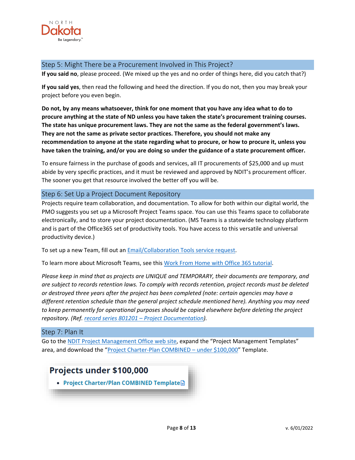

#### Step 5: Might There be a Procurement Involved in This Project?

**If you said no**, please proceed. (We mixed up the yes and no order of things here, did you catch that?)

**If you said yes**, then read the following and heed the direction. If you do not, then you may break your project before you even begin.

**Do not, by any means whatsoever, think for one moment that you have any idea what to do to procure anything at the state of ND unless you have taken the state's procurement training courses. The state has unique procurement laws. They are not the same as the federal government's laws. They are not the same as private sector practices. Therefore, you should not make any recommendation to anyone at the state regarding what to procure, or how to procure it, unless you have taken the training, and/or you are doing so under the guidance of a state procurement officer.**

To ensure fairness in the purchase of goods and services, all IT procurements of \$25,000 and up must abide by very specific practices, and it must be reviewed and approved by NDIT's procurement officer. The sooner you get that resource involved the better off you will be.

#### Step 6: Set Up a Project Document Repository

Projects require team collaboration, and documentation. To allow for both within our digital world, the PMO suggests you set up a Microsoft Project Teams space. You can use this Teams space to collaborate electronically, and to store your project documentation. (MS Teams is a statewide technology platform and is part of the Office365 set of productivity tools. You have access to this versatile and universal productivity device.)

To set up a new Team, fill out an [Email/Collaboration Tools service request.](https://northdakota.service-now.com/serviceportal?id=sc_cat_item&sys_id=b2457fecdbfb27805cfc1637059619f8)

To learn more about Microsoft Teams, see this [Work From Home with Office 365 tutorial.](https://teamnd.o365support.com/skill/tracks/view/98365901-efa7-4f72-ab7d-1ace5f84aea7?itemid=b6d407c4-624c-11ea-8639-000d3a72bab1)

*Please keep in mind that as projects are UNIQUE and TEMPORARY, their documents are temporary, and are subject to records retention laws. To comply with records retention, project records must be deleted or destroyed three years after the project has been completed (note: certain agencies may have a different retention schedule than the general project schedule mentioned here). Anything you may need to keep permanently for operational purposes should be copied elsewhere before deleting the project repository. (Ref[. record series 801201 – Project Documentation\)](https://apps.nd.gov/itd/recmgmt/rm/recSer/confirmMaintain/1847?foundOneOnly=Y).*

#### Step 7: Plan It

Go to th[e NDIT Project Management Office web site,](https://www.ndit.nd.gov/services/project-management) expand the "Project Management Templates" area, and download the ["Project Charter-Plan COMBINED – under \\$100,000"](https://www.ndit.nd.gov/sites/www/files/documents/customer-success-section/project-management/project-charter-plan-template-under100k.docx) Template.

### Projects under \$100,000

• Project Charter/Plan COMBINED Template.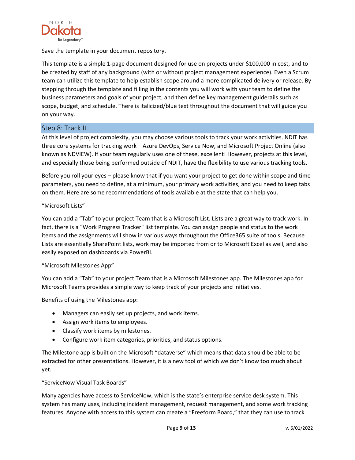

Save the template in your document repository.

This template is a simple 1-page document designed for use on projects under \$100,000 in cost, and to be created by staff of any background (with or without project management experience). Even a Scrum team can utilize this template to help establish scope around a more complicated delivery or release. By stepping through the template and filling in the contents you will work with your team to define the business parameters and goals of your project, and then define key management guiderails such as scope, budget, and schedule. There is italicized/blue text throughout the document that will guide you on your way.

#### Step 8: Track It

At this level of project complexity, you may choose various tools to track your work activities. NDIT has three core systems for tracking work – Azure DevOps, Service Now, and Microsoft Project Online (also known as NDVIEW). If your team regularly uses one of these, excellent! However, projects at this level, and especially those being performed outside of NDIT, have the flexibility to use various tracking tools.

Before you roll your eyes – please know that if you want your project to get done within scope and time parameters, you need to define, at a minimum, your primary work activities, and you need to keep tabs on them. Here are some recommendations of tools available at the state that can help you.

#### "Microsoft Lists"

You can add a "Tab" to your project Team that is a Microsoft List. Lists are a great way to track work. In fact, there is a "Work Progress Tracker" list template. You can assign people and status to the work items and the assignments will show in various ways throughout the Office365 suite of tools. Because Lists are essentially SharePoint lists, work may be imported from or to Microsoft Excel as well, and also easily exposed on dashboards via PowerBI.

#### "Microsoft Milestones App"

You can add a "Tab" to your project Team that is a Microsoft Milestones app. The Milestones app for Microsoft Teams provides a simple way to keep track of your projects and initiatives.

Benefits of using the Milestones app:

- Managers can easily set up projects, and work items.
- Assign work items to employees.
- Classify work items by milestones.
- Configure work item categories, priorities, and status options.

The Milestone app is built on the Microsoft "dataverse" which means that data should be able to be extracted for other presentations. However, it is a new tool of which we don't know too much about yet.

#### "ServiceNow Visual Task Boards"

Many agencies have access to ServiceNow, which is the state's enterprise service desk system. This system has many uses, including incident management, request management, and some work tracking features. Anyone with access to this system can create a "Freeform Board," that they can use to track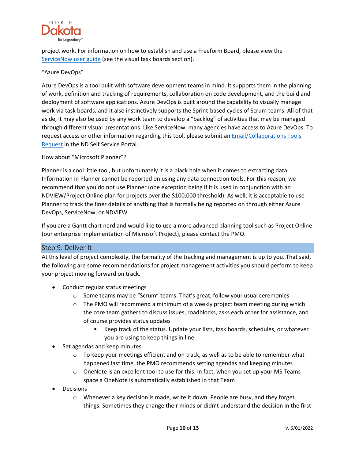

project work. For information on how to establish and use a Freeform Board, please view the [ServiceNow user guide](https://northdakota.service-now.com/$h.do?sysparm_id=basics) (see the visual task boards section).

#### "Azure DevOps"

Azure DevOps is a tool built with software development teams in mind. It supports them in the planning of work, definition and tracking of requirements, collaboration on code development, and the build and deployment of software applications. Azure DevOps is built around the capability to visually manage work via task boards, and it also instinctively supports the Sprint-based cycles of Scrum teams. All of that aside, it may also be used by any work team to develop a "backlog" of activities that may be managed through different visual presentations. Like ServiceNow, many agencies have access to Azure DevOps. To request access or other information regarding this tool, please submit an [Email/Collaborations Tools](https://northdakota.service-now.com/serviceportal?id=sc_cat_item&sys_id=b2457fecdbfb27805cfc1637059619f8)  [Request](https://northdakota.service-now.com/serviceportal?id=sc_cat_item&sys_id=b2457fecdbfb27805cfc1637059619f8) in the ND Self Service Portal.

#### How about "Microsoft Planner"?

Planner is a cool little tool, but unfortunately it is a black hole when it comes to extracting data. Information in Planner cannot be reported on using any data connection tools. For this reason, we recommend that you do not use Planner (one exception being if it is used in conjunction with an NDVIEW/Project Online plan for projects over the \$100,000 threshold). As well, it is acceptable to use Planner to track the finer details of anything that is formally being reported on through either Azure DevOps, ServiceNow, or NDVIEW.

If you are a Gantt chart nerd and would like to use a more advanced planning tool such as Project Online (our enterprise implementation of Microsoft Project), please contact the PMO.

#### Step 9: Deliver It

At this level of project complexity, the formality of the tracking and management is up to you. That said, the following are some recommendations for project management activities you should perform to keep your project moving forward on track.

- Conduct regular status meetings
	- o Some teams may be "Scrum" teams. That's great, follow your usual ceremonies
	- $\circ$  The PMO will recommend a minimum of a weekly project team meeting during which the core team gathers to discuss issues, roadblocks, asks each other for assistance, and of course provides status updates
		- Keep track of the status. Update your lists, task boards, schedules, or whatever you are using to keep things in line
- Set agendas and keep minutes
	- o To keep your meetings efficient and on track, as well as to be able to remember what happened last time, the PMO recommends setting agendas and keeping minutes
	- $\circ$  OneNote is an excellent tool to use for this. In fact, when you set up your MS Teams space a OneNote is automatically established in that Team
- Decisions
	- $\circ$  Whenever a key decision is made, write it down. People are busy, and they forget things. Sometimes they change their minds or didn't understand the decision in the first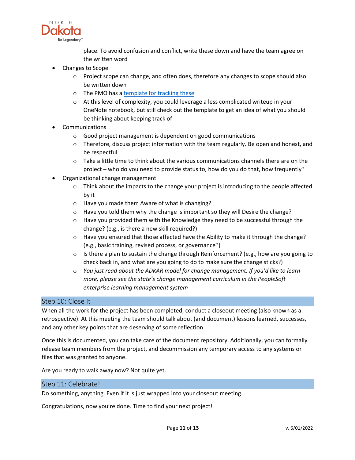

place. To avoid confusion and conflict, write these down and have the team agree on the written word

- Changes to Scope
	- $\circ$  Project scope can change, and often does, therefore any changes to scope should also be written down
	- o The PMO has a [template for tracking these](https://www.ndit.nd.gov/sites/www/files/documents/customer-success-section/project-management/project-change-request-form.docx)
	- $\circ$  At this level of complexity, you could leverage a less complicated writeup in your OneNote notebook, but still check out the template to get an idea of what you should be thinking about keeping track of
- **Communications** 
	- o Good project management is dependent on good communications
	- $\circ$  Therefore, discuss project information with the team regularly. Be open and honest, and be respectful
	- $\circ$  Take a little time to think about the various communications channels there are on the project – who do you need to provide status to, how do you do that, how frequently?
- Organizational change management
	- $\circ$  Think about the impacts to the change your project is introducing to the people affected by it
	- o Have you made them Aware of what is changing?
	- o Have you told them why the change is important so they will Desire the change?
	- o Have you provided them with the Knowledge they need to be successful through the change? (e.g., is there a new skill required?)
	- $\circ$  Have you ensured that those affected have the Ability to make it through the change? (e.g., basic training, revised process, or governance?)
	- $\circ$  Is there a plan to sustain the change through Reinforcement? (e.g., how are you going to check back in, and what are you going to do to make sure the change sticks?)
	- o *You just read about the ADKAR model for change management. If you'd like to learn more, please see the state's change management curriculum in the PeopleSoft enterprise learning management system*

#### Step 10: Close It

When all the work for the project has been completed, conduct a closeout meeting (also known as a retrospective). At this meeting the team should talk about (and document) lessons learned, successes, and any other key points that are deserving of some reflection.

Once this is documented, you can take care of the document repository. Additionally, you can formally release team members from the project, and decommission any temporary access to any systems or files that was granted to anyone.

Are you ready to walk away now? Not quite yet.

#### Step 11: Celebrate!

Do something, anything. Even if it is just wrapped into your closeout meeting.

Congratulations, now you're done. Time to find your next project!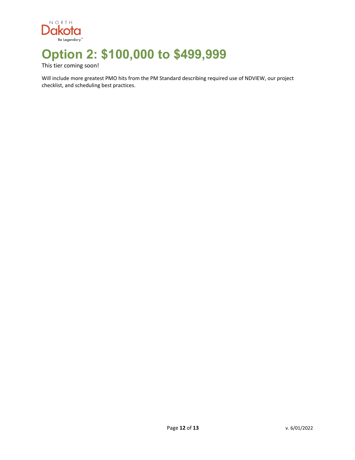

### **Option 2: \$100,000 to \$499,999**

This tier coming soon!

Will include more greatest PMO hits from the PM Standard describing required use of NDVIEW, our project checklist, and scheduling best practices.